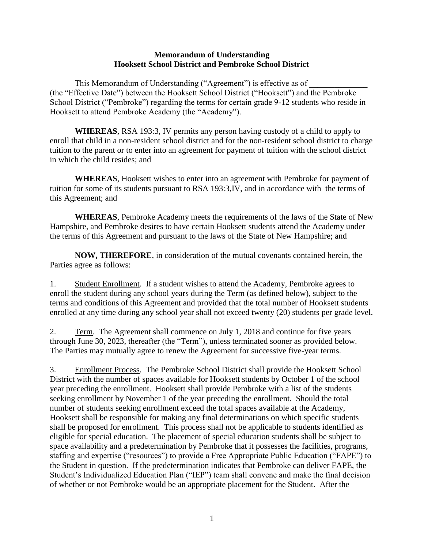## **Memorandum of Understanding Hooksett School District and Pembroke School District**

This Memorandum of Understanding ("Agreement") is effective as of (the "Effective Date") between the Hooksett School District ("Hooksett") and the Pembroke School District ("Pembroke") regarding the terms for certain grade 9-12 students who reside in Hooksett to attend Pembroke Academy (the "Academy").

**WHEREAS**, RSA 193:3, IV permits any person having custody of a child to apply to enroll that child in a non-resident school district and for the non-resident school district to charge tuition to the parent or to enter into an agreement for payment of tuition with the school district in which the child resides; and

**WHEREAS**, Hooksett wishes to enter into an agreement with Pembroke for payment of tuition for some of its students pursuant to RSA 193:3,IV, and in accordance with the terms of this Agreement; and

**WHEREAS**, Pembroke Academy meets the requirements of the laws of the State of New Hampshire, and Pembroke desires to have certain Hooksett students attend the Academy under the terms of this Agreement and pursuant to the laws of the State of New Hampshire; and

**NOW, THEREFORE**, in consideration of the mutual covenants contained herein, the Parties agree as follows:

1. Student Enrollment. If a student wishes to attend the Academy, Pembroke agrees to enroll the student during any school years during the Term (as defined below), subject to the terms and conditions of this Agreement and provided that the total number of Hooksett students enrolled at any time during any school year shall not exceed twenty (20) students per grade level.

2. Term. The Agreement shall commence on July 1, 2018 and continue for five years through June 30, 2023, thereafter (the "Term"), unless terminated sooner as provided below. The Parties may mutually agree to renew the Agreement for successive five-year terms.

3. Enrollment Process. The Pembroke School District shall provide the Hooksett School District with the number of spaces available for Hooksett students by October 1 of the school year preceding the enrollment. Hooksett shall provide Pembroke with a list of the students seeking enrollment by November 1 of the year preceding the enrollment. Should the total number of students seeking enrollment exceed the total spaces available at the Academy, Hooksett shall be responsible for making any final determinations on which specific students shall be proposed for enrollment. This process shall not be applicable to students identified as eligible for special education. The placement of special education students shall be subject to space availability and a predetermination by Pembroke that it possesses the facilities, programs, staffing and expertise ("resources") to provide a Free Appropriate Public Education ("FAPE") to the Student in question. If the predetermination indicates that Pembroke can deliver FAPE, the Student's Individualized Education Plan ("IEP") team shall convene and make the final decision of whether or not Pembroke would be an appropriate placement for the Student. After the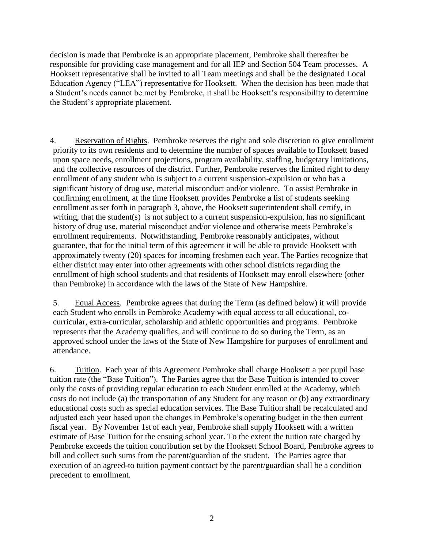decision is made that Pembroke is an appropriate placement, Pembroke shall thereafter be responsible for providing case management and for all IEP and Section 504 Team processes. A Hooksett representative shall be invited to all Team meetings and shall be the designated Local Education Agency ("LEA") representative for Hooksett. When the decision has been made that a Student's needs cannot be met by Pembroke, it shall be Hooksett's responsibility to determine the Student's appropriate placement.

4. Reservation of Rights. Pembroke reserves the right and sole discretion to give enrollment priority to its own residents and to determine the number of spaces available to Hooksett based upon space needs, enrollment projections, program availability, staffing, budgetary limitations, and the collective resources of the district. Further, Pembroke reserves the limited right to deny enrollment of any student who is subject to a current suspension-expulsion or who has a significant history of drug use, material misconduct and/or violence. To assist Pembroke in confirming enrollment, at the time Hooksett provides Pembroke a list of students seeking enrollment as set forth in paragraph 3, above, the Hooksett superintendent shall certify, in writing, that the student(s) is not subject to a current suspension-expulsion, has no significant history of drug use, material misconduct and/or violence and otherwise meets Pembroke's enrollment requirements.Notwithstanding, Pembroke reasonably anticipates, without guarantee, that for the initial term of this agreement it will be able to provide Hooksett with approximately twenty (20) spaces for incoming freshmen each year. The Parties recognize that either district may enter into other agreements with other school districts regarding the enrollment of high school students and that residents of Hooksett may enroll elsewhere (other than Pembroke) in accordance with the laws of the State of New Hampshire.

5. Equal Access. Pembroke agrees that during the Term (as defined below) it will provide each Student who enrolls in Pembroke Academy with equal access to all educational, cocurricular, extra-curricular, scholarship and athletic opportunities and programs. Pembroke represents that the Academy qualifies, and will continue to do so during the Term, as an approved school under the laws of the State of New Hampshire for purposes of enrollment and attendance.

6. Tuition. Each year of this Agreement Pembroke shall charge Hooksett a per pupil base tuition rate (the "Base Tuition"). The Parties agree that the Base Tuition is intended to cover only the costs of providing regular education to each Student enrolled at the Academy, which costs do not include (a) the transportation of any Student for any reason or (b) any extraordinary educational costs such as special education services. The Base Tuition shall be recalculated and adjusted each year based upon the changes in Pembroke's operating budget in the then current fiscal year. By November 1st of each year, Pembroke shall supply Hooksett with a written estimate of Base Tuition for the ensuing school year. To the extent the tuition rate charged by Pembroke exceeds the tuition contribution set by the Hooksett School Board, Pembroke agrees to bill and collect such sums from the parent/guardian of the student. The Parties agree that execution of an agreed-to tuition payment contract by the parent/guardian shall be a condition precedent to enrollment.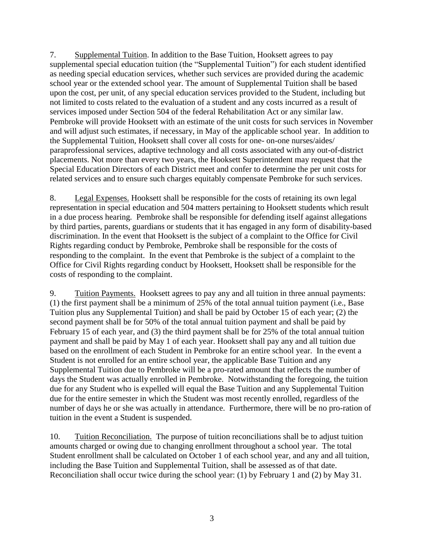7. Supplemental Tuition. In addition to the Base Tuition, Hooksett agrees to pay supplemental special education tuition (the "Supplemental Tuition") for each student identified as needing special education services, whether such services are provided during the academic school year or the extended school year. The amount of Supplemental Tuition shall be based upon the cost, per unit, of any special education services provided to the Student, including but not limited to costs related to the evaluation of a student and any costs incurred as a result of services imposed under Section 504 of the federal Rehabilitation Act or any similar law. Pembroke will provide Hooksett with an estimate of the unit costs for such services in November and will adjust such estimates, if necessary, in May of the applicable school year. In addition to the Supplemental Tuition, Hooksett shall cover all costs for one- on-one nurses/aides/ paraprofessional services, adaptive technology and all costs associated with any out-of-district placements. Not more than every two years, the Hooksett Superintendent may request that the Special Education Directors of each District meet and confer to determine the per unit costs for related services and to ensure such charges equitably compensate Pembroke for such services.

8. Legal Expenses. Hooksett shall be responsible for the costs of retaining its own legal representation in special education and 504 matters pertaining to Hooksett students which result in a due process hearing. Pembroke shall be responsible for defending itself against allegations by third parties, parents, guardians or students that it has engaged in any form of disability-based discrimination. In the event that Hooksett is the subject of a complaint to the Office for Civil Rights regarding conduct by Pembroke, Pembroke shall be responsible for the costs of responding to the complaint. In the event that Pembroke is the subject of a complaint to the Office for Civil Rights regarding conduct by Hooksett, Hooksett shall be responsible for the costs of responding to the complaint.

9. Tuition Payments. Hooksett agrees to pay any and all tuition in three annual payments: (1) the first payment shall be a minimum of 25% of the total annual tuition payment (i.e., Base Tuition plus any Supplemental Tuition) and shall be paid by October 15 of each year; (2) the second payment shall be for 50% of the total annual tuition payment and shall be paid by February 15 of each year, and (3) the third payment shall be for 25% of the total annual tuition payment and shall be paid by May 1 of each year. Hooksett shall pay any and all tuition due based on the enrollment of each Student in Pembroke for an entire school year. In the event a Student is not enrolled for an entire school year, the applicable Base Tuition and any Supplemental Tuition due to Pembroke will be a pro-rated amount that reflects the number of days the Student was actually enrolled in Pembroke. Notwithstanding the foregoing, the tuition due for any Student who is expelled will equal the Base Tuition and any Supplemental Tuition due for the entire semester in which the Student was most recently enrolled, regardless of the number of days he or she was actually in attendance. Furthermore, there will be no pro-ration of tuition in the event a Student is suspended.

10. Tuition Reconciliation. The purpose of tuition reconciliations shall be to adjust tuition amounts charged or owing due to changing enrollment throughout a school year. The total Student enrollment shall be calculated on October 1 of each school year, and any and all tuition, including the Base Tuition and Supplemental Tuition, shall be assessed as of that date. Reconciliation shall occur twice during the school year: (1) by February 1 and (2) by May 31.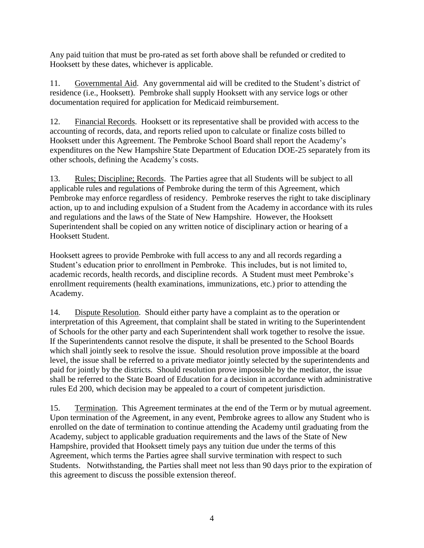Any paid tuition that must be pro-rated as set forth above shall be refunded or credited to Hooksett by these dates, whichever is applicable.

11. Governmental Aid. Any governmental aid will be credited to the Student's district of residence (i.e., Hooksett). Pembroke shall supply Hooksett with any service logs or other documentation required for application for Medicaid reimbursement.

12. Financial Records. Hooksett or its representative shall be provided with access to the accounting of records, data, and reports relied upon to calculate or finalize costs billed to Hooksett under this Agreement. The Pembroke School Board shall report the Academy's expenditures on the New Hampshire State Department of Education DOE-25 separately from its other schools, defining the Academy's costs.

13. Rules; Discipline; Records. The Parties agree that all Students will be subject to all applicable rules and regulations of Pembroke during the term of this Agreement, which Pembroke may enforce regardless of residency. Pembroke reserves the right to take disciplinary action, up to and including expulsion of a Student from the Academy in accordance with its rules and regulations and the laws of the State of New Hampshire. However, the Hooksett Superintendent shall be copied on any written notice of disciplinary action or hearing of a Hooksett Student.

Hooksett agrees to provide Pembroke with full access to any and all records regarding a Student's education prior to enrollment in Pembroke. This includes, but is not limited to, academic records, health records, and discipline records. A Student must meet Pembroke's enrollment requirements (health examinations, immunizations, etc.) prior to attending the Academy.

14. Dispute Resolution. Should either party have a complaint as to the operation or interpretation of this Agreement, that complaint shall be stated in writing to the Superintendent of Schools for the other party and each Superintendent shall work together to resolve the issue. If the Superintendents cannot resolve the dispute, it shall be presented to the School Boards which shall jointly seek to resolve the issue. Should resolution prove impossible at the board level, the issue shall be referred to a private mediator jointly selected by the superintendents and paid for jointly by the districts. Should resolution prove impossible by the mediator, the issue shall be referred to the State Board of Education for a decision in accordance with administrative rules Ed 200, which decision may be appealed to a court of competent jurisdiction.

15. Termination. This Agreement terminates at the end of the Term or by mutual agreement. Upon termination of the Agreement, in any event, Pembroke agrees to allow any Student who is enrolled on the date of termination to continue attending the Academy until graduating from the Academy, subject to applicable graduation requirements and the laws of the State of New Hampshire, provided that Hooksett timely pays any tuition due under the terms of this Agreement, which terms the Parties agree shall survive termination with respect to such Students. Notwithstanding, the Parties shall meet not less than 90 days prior to the expiration of this agreement to discuss the possible extension thereof.